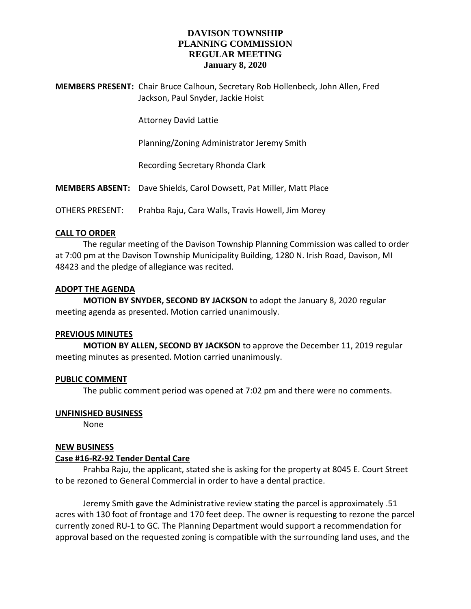# **DAVISON TOWNSHIP PLANNING COMMISSION REGULAR MEETING January 8, 2020**

**MEMBERS PRESENT:** Chair Bruce Calhoun, Secretary Rob Hollenbeck, John Allen, Fred Jackson, Paul Snyder, Jackie Hoist

Attorney David Lattie

Planning/Zoning Administrator Jeremy Smith

Recording Secretary Rhonda Clark

**MEMBERS ABSENT:** Dave Shields, Carol Dowsett, Pat Miller, Matt Place

OTHERS PRESENT: Prahba Raju, Cara Walls, Travis Howell, Jim Morey

### **CALL TO ORDER**

The regular meeting of the Davison Township Planning Commission was called to order at 7:00 pm at the Davison Township Municipality Building, 1280 N. Irish Road, Davison, MI 48423 and the pledge of allegiance was recited.

### **ADOPT THE AGENDA**

**MOTION BY SNYDER, SECOND BY JACKSON** to adopt the January 8, 2020 regular meeting agenda as presented. Motion carried unanimously.

#### **PREVIOUS MINUTES**

**MOTION BY ALLEN, SECOND BY JACKSON** to approve the December 11, 2019 regular meeting minutes as presented. Motion carried unanimously.

## **PUBLIC COMMENT**

The public comment period was opened at 7:02 pm and there were no comments.

#### **UNFINISHED BUSINESS**

None

#### **NEW BUSINESS**

## **Case #16-RZ-92 Tender Dental Care**

Prahba Raju, the applicant, stated she is asking for the property at 8045 E. Court Street to be rezoned to General Commercial in order to have a dental practice.

Jeremy Smith gave the Administrative review stating the parcel is approximately .51 acres with 130 foot of frontage and 170 feet deep. The owner is requesting to rezone the parcel currently zoned RU-1 to GC. The Planning Department would support a recommendation for approval based on the requested zoning is compatible with the surrounding land uses, and the